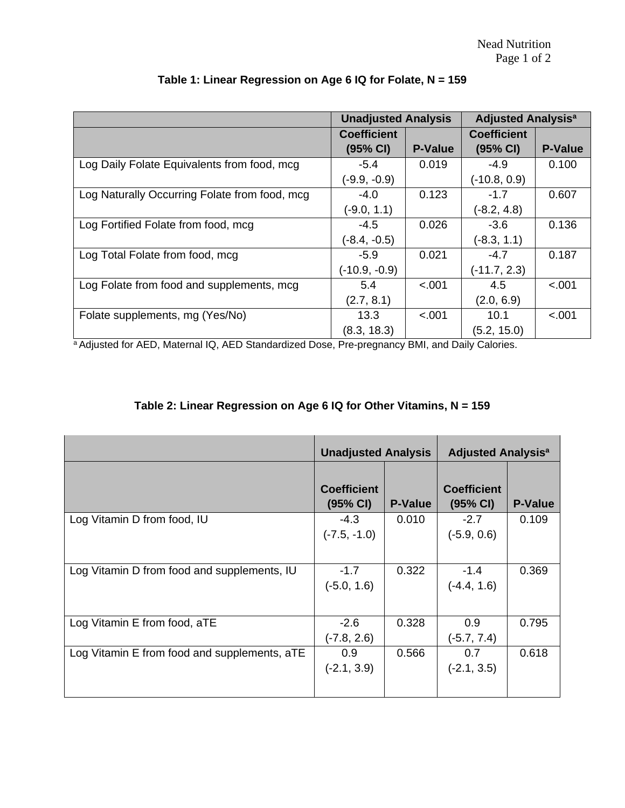|                                               | <b>Unadjusted Analysis</b> |                | <b>Adjusted Analysis<sup>a</sup></b> |                |
|-----------------------------------------------|----------------------------|----------------|--------------------------------------|----------------|
|                                               | <b>Coefficient</b>         |                | <b>Coefficient</b>                   |                |
|                                               | (95% CI)                   | <b>P-Value</b> | (95% CI)                             | <b>P-Value</b> |
| Log Daily Folate Equivalents from food, mcg   | $-5.4$                     | 0.019          | $-4.9$                               | 0.100          |
|                                               | $(-9.9, -0.9)$             |                | $(-10.8, 0.9)$                       |                |
| Log Naturally Occurring Folate from food, mcg | $-4.0$                     | 0.123          | $-1.7$                               | 0.607          |
|                                               | $(-9.0, 1.1)$              |                | $(-8.2, 4.8)$                        |                |
| Log Fortified Folate from food, mcg           | $-4.5$                     | 0.026          | $-3.6$                               | 0.136          |
|                                               | $(-8.4, -0.5)$             |                | $(-8.3, 1.1)$                        |                |
| Log Total Folate from food, mcg               | $-5.9$                     | 0.021          | $-4.7$                               | 0.187          |
|                                               | $(-10.9, -0.9)$            |                | $(-11.7, 2.3)$                       |                |
| Log Folate from food and supplements, mcg     | 5.4                        | < .001         | 4.5                                  | < .001         |
|                                               | (2.7, 8.1)                 |                | (2.0, 6.9)                           |                |
| Folate supplements, mg (Yes/No)               | 13.3                       | $-.001$        | 10.1                                 | < .001         |
|                                               | (8.3, 18.3)                |                | (5.2, 15.0)                          |                |

## **Table 1: Linear Regression on Age 6 IQ for Folate, N = 159**

a<br>Adjusted for AED, Maternal IQ, AED Standardized Dose, Pre-pregnancy BMI, and Daily Calories.

## **Table 2: Linear Regression on Age 6 IQ for Other Vitamins, N = 159**

|                                              | <b>Unadjusted Analysis</b>     |                | <b>Adjusted Analysis<sup>a</sup></b> |                |
|----------------------------------------------|--------------------------------|----------------|--------------------------------------|----------------|
|                                              | <b>Coefficient</b><br>(95% CI) | <b>P-Value</b> | <b>Coefficient</b><br>(95% CI)       | <b>P-Value</b> |
| Log Vitamin D from food, IU                  | $-4.3$<br>$(-7.5, -1.0)$       | 0.010          | $-2.7$<br>$(-5.9, 0.6)$              | 0.109          |
| Log Vitamin D from food and supplements, IU  | $-1.7$<br>$(-5.0, 1.6)$        | 0.322          | $-1.4$<br>$(-4.4, 1.6)$              | 0.369          |
| Log Vitamin E from food, aTE                 | $-2.6$<br>$(-7.8, 2.6)$        | 0.328          | 0.9<br>$(-5.7, 7.4)$                 | 0.795          |
| Log Vitamin E from food and supplements, aTE | 0.9<br>$(-2.1, 3.9)$           | 0.566          | 0.7<br>$(-2.1, 3.5)$                 | 0.618          |